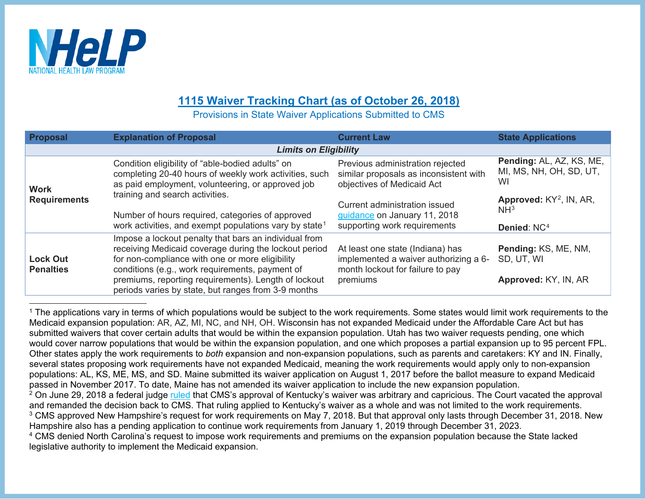

## <span id="page-0-3"></span><span id="page-0-2"></span><span id="page-0-1"></span><span id="page-0-0"></span>**1115 Waiver Tracking Chart (as of October 26, 2018)**

Provisions in State Waiver Applications Submitted to CMS

| <b>Proposal</b>                     | <b>Explanation of Proposal</b>                                                                                                                                                                                                                                                                                                      | <b>Current Law</b>                                                                                                        | <b>State Applications</b>                                                         |  |  |
|-------------------------------------|-------------------------------------------------------------------------------------------------------------------------------------------------------------------------------------------------------------------------------------------------------------------------------------------------------------------------------------|---------------------------------------------------------------------------------------------------------------------------|-----------------------------------------------------------------------------------|--|--|
| <b>Limits on Eligibility</b>        |                                                                                                                                                                                                                                                                                                                                     |                                                                                                                           |                                                                                   |  |  |
| <b>Work</b><br><b>Requirements</b>  | Condition eligibility of "able-bodied adults" on<br>completing 20-40 hours of weekly work activities, such<br>as paid employment, volunteering, or approved job                                                                                                                                                                     | Previous administration rejected<br>similar proposals as inconsistent with<br>objectives of Medicaid Act                  | Pending: AL, AZ, KS, ME,<br>MI, MS, NH, OH, SD, UT,<br>WI                         |  |  |
|                                     | training and search activities.<br>Number of hours required, categories of approved<br>work activities, and exempt populations vary by state <sup>1</sup>                                                                                                                                                                           | Current administration issued<br>guidance on January 11, 2018<br>supporting work requirements                             | Approved: KY <sup>2</sup> , IN, AR,<br>NH <sup>3</sup><br>Denied: NC <sup>4</sup> |  |  |
| <b>Lock Out</b><br><b>Penalties</b> | Impose a lockout penalty that bars an individual from<br>receiving Medicaid coverage during the lockout period<br>for non-compliance with one or more eligibility<br>conditions (e.g., work requirements, payment of<br>premiums, reporting requirements). Length of lockout<br>periods varies by state, but ranges from 3-9 months | At least one state (Indiana) has<br>implemented a waiver authorizing a 6-<br>month lockout for failure to pay<br>premiums | Pending: KS, ME, NM,<br>SD, UT, WI<br>Approved: KY, IN, AR                        |  |  |

<sup>&</sup>lt;sup>1</sup> The applications vary in terms of which populations would be subject to the work requirements. Some states would limit work requirements to the Medicaid expansion population: AR, AZ, MI, NC, and NH, OH. Wisconsin has not expanded Medicaid under the Affordable Care Act but has submitted waivers that cover certain adults that would be within the expansion population. Utah has two waiver requests pending, one which would cover narrow populations that would be within the expansion population, and one which proposes a partial expansion up to 95 percent FPL. Other states apply the work requirements to *both* expansion and non-expansion populations, such as parents and caretakers: KY and IN. Finally, several states proposing work requirements have not expanded Medicaid, meaning the work requirements would apply only to non-expansion populations: AL, KS, ME, MS, and SD. Maine submitted its waiver application on August 1, 2017 before the ballot measure to expand Medicaid passed in November 2017. To date, Maine has not amended its waiver application to include the new expansion population. <sup>2</sup> On June 29, 2018 a federal judge [ruled](http://www.healthlaw.org/news/press-releases/735-kentucky-medicaid-waiver-scheme-halted-by-federal-court) that CMS's approval of Kentucky's waiver was arbitrary and capricious. The Court vacated the approval and remanded the decision back to CMS. That ruling applied to Kentucky's waiver as a whole and was not limited to the work requirements. <sup>3</sup> CMS approved New Hampshire's request for work requirements on May 7, 2018. But that approval only lasts through December 31, 2018. New Hampshire also has a pending application to continue work requirements from January 1, 2019 through December 31, 2023. <sup>4</sup> CMS denied North Carolina's request to impose work requirements and premiums on the expansion population because the State lacked

legislative authority to implement the Medicaid expansion.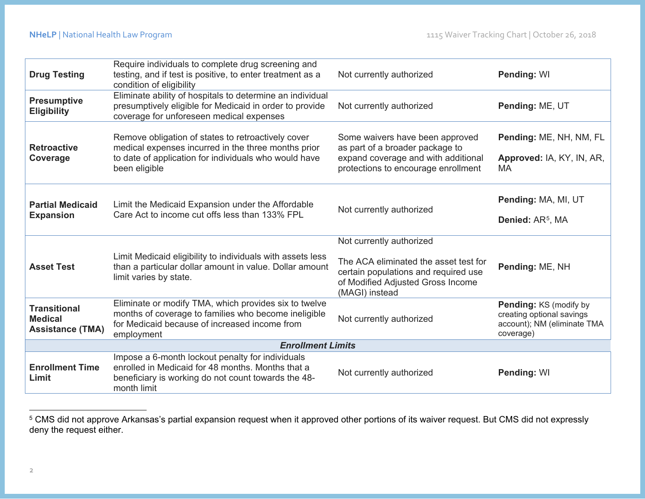<span id="page-1-0"></span>

| <b>Drug Testing</b>                                              | Require individuals to complete drug screening and<br>testing, and if test is positive, to enter treatment as a<br>condition of eligibility                                         | Not currently authorized                                                                                                                         | Pending: WI                                                                                     |  |
|------------------------------------------------------------------|-------------------------------------------------------------------------------------------------------------------------------------------------------------------------------------|--------------------------------------------------------------------------------------------------------------------------------------------------|-------------------------------------------------------------------------------------------------|--|
| <b>Presumptive</b><br><b>Eligibility</b>                         | Eliminate ability of hospitals to determine an individual<br>presumptively eligible for Medicaid in order to provide<br>coverage for unforeseen medical expenses                    | Not currently authorized                                                                                                                         | Pending: ME, UT                                                                                 |  |
| <b>Retroactive</b><br>Coverage                                   | Remove obligation of states to retroactively cover<br>medical expenses incurred in the three months prior<br>to date of application for individuals who would have<br>been eligible | Some waivers have been approved<br>as part of a broader package to<br>expand coverage and with additional<br>protections to encourage enrollment | Pending: ME, NH, NM, FL<br>Approved: IA, KY, IN, AR,<br><b>MA</b>                               |  |
| <b>Partial Medicaid</b><br><b>Expansion</b>                      | Limit the Medicaid Expansion under the Affordable<br>Care Act to income cut offs less than 133% FPL                                                                                 | Not currently authorized                                                                                                                         | Pending: MA, MI, UT<br>Denied: AR <sup>5</sup> , MA                                             |  |
|                                                                  |                                                                                                                                                                                     | Not currently authorized                                                                                                                         |                                                                                                 |  |
| <b>Asset Test</b>                                                | Limit Medicaid eligibility to individuals with assets less<br>than a particular dollar amount in value. Dollar amount<br>limit varies by state.                                     | The ACA eliminated the asset test for<br>certain populations and required use<br>of Modified Adjusted Gross Income<br>(MAGI) instead             | Pending: ME, NH                                                                                 |  |
| <b>Transitional</b><br><b>Medical</b><br><b>Assistance (TMA)</b> | Eliminate or modify TMA, which provides six to twelve<br>months of coverage to families who become ineligible<br>for Medicaid because of increased income from<br>employment        | Not currently authorized                                                                                                                         | Pending: KS (modify by<br>creating optional savings<br>account); NM (eliminate TMA<br>coverage) |  |
| <b>Enrollment Limits</b>                                         |                                                                                                                                                                                     |                                                                                                                                                  |                                                                                                 |  |
| <b>Enrollment Time</b><br>Limit                                  | Impose a 6-month lockout penalty for individuals<br>enrolled in Medicaid for 48 months. Months that a<br>beneficiary is working do not count towards the 48-<br>month limit         | Not currently authorized                                                                                                                         | Pending: WI                                                                                     |  |

 <sup>5</sup> CMS did not approve Arkansas's partial expansion request when it approved other portions of its waiver request. But CMS did not expressly deny the request either.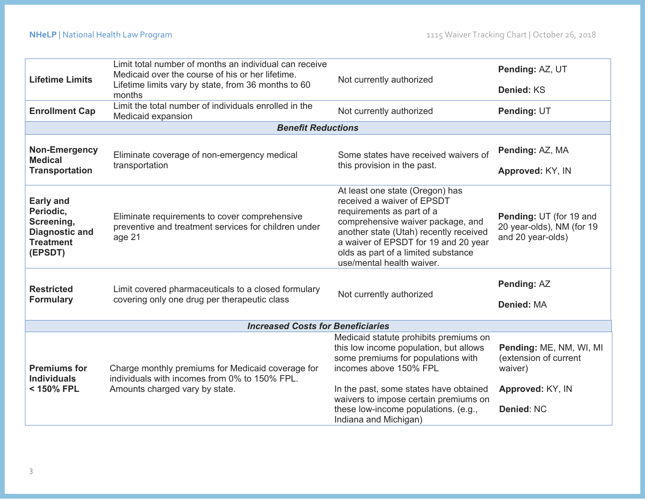| <b>Lifetime Limits</b>                                                                              | Limit total number of months an individual can receive<br>Medicaid over the course of his or her lifetime.<br>Lifetime limits vary by state, from 36 months to 60<br>months | Not currently authorized                                                                                                                                                                                                                                                                             | Pending: AZ, UT                                                                               |  |  |  |
|-----------------------------------------------------------------------------------------------------|-----------------------------------------------------------------------------------------------------------------------------------------------------------------------------|------------------------------------------------------------------------------------------------------------------------------------------------------------------------------------------------------------------------------------------------------------------------------------------------------|-----------------------------------------------------------------------------------------------|--|--|--|
|                                                                                                     |                                                                                                                                                                             |                                                                                                                                                                                                                                                                                                      | Denied: KS                                                                                    |  |  |  |
| <b>Enrollment Cap</b>                                                                               | Limit the total number of individuals enrolled in the<br>Medicaid expansion                                                                                                 | Not currently authorized                                                                                                                                                                                                                                                                             | Pending: UT                                                                                   |  |  |  |
| <b>Benefit Reductions</b>                                                                           |                                                                                                                                                                             |                                                                                                                                                                                                                                                                                                      |                                                                                               |  |  |  |
| Non-Emergency<br><b>Medical</b><br><b>Transportation</b>                                            | Eliminate coverage of non-emergency medical<br>transportation                                                                                                               | Some states have received waivers of<br>this provision in the past.                                                                                                                                                                                                                                  | Pending: AZ, MA                                                                               |  |  |  |
|                                                                                                     |                                                                                                                                                                             |                                                                                                                                                                                                                                                                                                      | Approved: KY, IN                                                                              |  |  |  |
| <b>Early and</b><br>Periodic,<br>Screening,<br><b>Diagnostic and</b><br><b>Treatment</b><br>(EPSDT) | Eliminate requirements to cover comprehensive<br>preventive and treatment services for children under<br>age 21                                                             | At least one state (Oregon) has<br>received a waiver of EPSDT<br>requirements as part of a<br>comprehensive waiver package, and<br>another state (Utah) recently received<br>a waiver of EPSDT for 19 and 20 year<br>olds as part of a limited substance<br>use/mental health waiver.                | Pending: UT (for 19 and<br>20 year-olds), NM (for 19<br>and 20 year-olds)                     |  |  |  |
| <b>Restricted</b><br><b>Formulary</b>                                                               | Limit covered pharmaceuticals to a closed formulary<br>covering only one drug per therapeutic class                                                                         | Not currently authorized                                                                                                                                                                                                                                                                             | Pending: AZ<br><b>Denied: MA</b>                                                              |  |  |  |
| <b>Increased Costs for Beneficiaries</b>                                                            |                                                                                                                                                                             |                                                                                                                                                                                                                                                                                                      |                                                                                               |  |  |  |
| <b>Premiums for</b><br><b>Individuals</b><br>< 150% FPL                                             | Charge monthly premiums for Medicaid coverage for<br>individuals with incomes from 0% to 150% FPL.<br>Amounts charged vary by state.                                        | Medicaid statute prohibits premiums on<br>this low income population, but allows<br>some premiums for populations with<br>incomes above 150% FPL<br>In the past, some states have obtained<br>waivers to impose certain premiums on<br>these low-income populations. (e.g.,<br>Indiana and Michigan) | Pending: ME, NM, WI, MI<br>(extension of current<br>waiver)<br>Approved: KY, IN<br>Denied: NC |  |  |  |